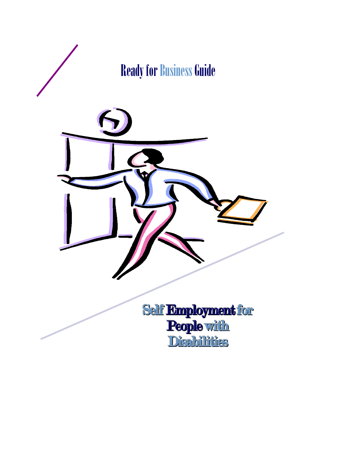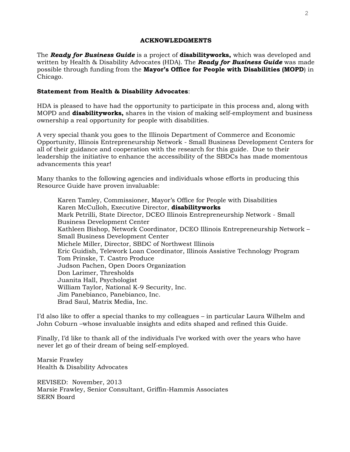#### **ACKNOWLEDGMENTS**

The *Ready for Business Guide* is a project of **disabilityworks,** which was developed and written by Health & Disability Advocates (HDA). The *Ready for Business Guide* was made possible through funding from the **Mayor's Office for People with Disabilities (MOPD**) in Chicago.

#### **Statement from Health & Disability Advocates**:

HDA is pleased to have had the opportunity to participate in this process and, along with MOPD and **disabilityworks,** shares in the vision of making self-employment and business ownership a real opportunity for people with disabilities.

A very special thank you goes to the Illinois Department of Commerce and Economic Opportunity, Illinois Entrepreneurship Network - Small Business Development Centers for all of their guidance and cooperation with the research for this guide. Due to their leadership the initiative to enhance the accessibility of the SBDCs has made momentous advancements this year!

Many thanks to the following agencies and individuals whose efforts in producing this Resource Guide have proven invaluable:

Karen Tamley, Commissioner, Mayor's Office for People with Disabilities Karen McCulloh, Executive Director, **disabilityworks** Mark Petrilli, State Director, DCEO Illinois Entrepreneurship Network - Small Business Development Center Kathleen Bishop, Network Coordinator, DCEO Illinois Entrepreneurship Network – Small Business Development Center Michele Miller, Director, SBDC of Northwest Illinois Eric Guidish, Telework Loan Coordinator, Illinois Assistive Technology Program Tom Prinske, T. Castro Produce Judson Pachen, Open Doors Organization Don Larimer, Thresholds Juanita Hall, Psychologist William Taylor, National K-9 Security, Inc. Jim Panebianco, Panebianco, Inc. Brad Saul, Matrix Media, Inc.

I'd also like to offer a special thanks to my colleagues – in particular Laura Wilhelm and John Coburn –whose invaluable insights and edits shaped and refined this Guide.

Finally, I'd like to thank all of the individuals I've worked with over the years who have never let go of their dream of being self-employed.

Marsie Frawley Health & Disability Advocates

REVISED: November, 2013 Marsie Frawley, Senior Consultant, Griffin-Hammis Associates SERN Board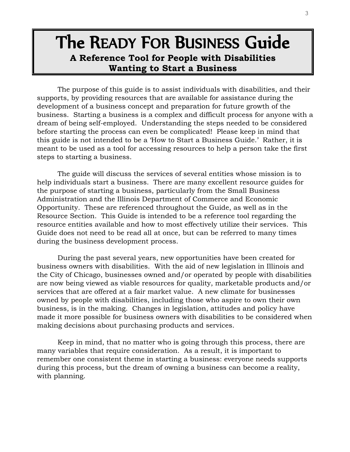# The READY FOR BUSINESS Guide **A Reference Tool for People with Disabilities Wanting to Start a Business**

The purpose of this guide is to assist individuals with disabilities, and their supports, by providing resources that are available for assistance during the development of a business concept and preparation for future growth of the business. Starting a business is a complex and difficult process for anyone with a dream of being self-employed. Understanding the steps needed to be considered before starting the process can even be complicated! Please keep in mind that this guide is not intended to be a 'How to Start a Business Guide.' Rather, it is meant to be used as a tool for accessing resources to help a person take the first steps to starting a business.

The guide will discuss the services of several entities whose mission is to help individuals start a business. There are many excellent resource guides for the purpose of starting a business, particularly from the Small Business Administration and the Illinois Department of Commerce and Economic Opportunity. These are referenced throughout the Guide, as well as in the Resource Section. This Guide is intended to be a reference tool regarding the resource entities available and how to most effectively utilize their services. This Guide does not need to be read all at once, but can be referred to many times during the business development process.

During the past several years, new opportunities have been created for business owners with disabilities. With the aid of new legislation in Illinois and the City of Chicago, businesses owned and/or operated by people with disabilities are now being viewed as viable resources for quality, marketable products and/or services that are offered at a fair market value. A new climate for businesses owned by people with disabilities, including those who aspire to own their own business, is in the making. Changes in legislation, attitudes and policy have made it more possible for business owners with disabilities to be considered when making decisions about purchasing products and services.

Keep in mind, that no matter who is going through this process, there are many variables that require consideration. As a result, it is important to remember one consistent theme in starting a business: everyone needs supports during this process, but the dream of owning a business can become a reality, with planning.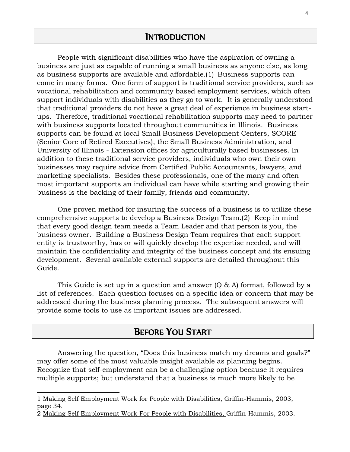People with significant disabilities who have the aspiration of owning a business are just as capable of running a small business as anyone else, as long as business supports are available and affordable.(1) Business supports can come in many forms. One form of support is traditional service providers, such as vocational rehabilitation and community based employment services, which often support individuals with disabilities as they go to work. It is generally understood that traditional providers do not have a great deal of experience in business startups. Therefore, traditional vocational rehabilitation supports may need to partner with business supports located throughout communities in Illinois. Business supports can be found at local Small Business Development Centers, SCORE (Senior Core of Retired Executives), the Small Business Administration, and University of Illinois - Extension offices for agriculturally based businesses. In addition to these traditional service providers, individuals who own their own businesses may require advice from Certified Public Accountants, lawyers, and marketing specialists. Besides these professionals, one of the many and often most important supports an individual can have while starting and growing their business is the backing of their family, friends and community.

One proven method for insuring the success of a business is to utilize these comprehensive supports to develop a Business Design Team.(2) Keep in mind that every good design team needs a Team Leader and that person is you, the business owner. Building a Business Design Team requires that each support entity is trustworthy, has or will quickly develop the expertise needed, and will maintain the confidentiality and integrity of the business concept and its ensuing development. Several available external supports are detailed throughout this Guide.

This Guide is set up in a question and answer (Q & A) format, followed by a list of references. Each question focuses on a specific idea or concern that may be addressed during the business planning process. The subsequent answers will provide some tools to use as important issues are addressed.

# BEFORE YOU START

Answering the question, "Does this business match my dreams and goals?" may offer some of the most valuable insight available as planning begins. Recognize that self-employment can be a challenging option because it requires multiple supports; but understand that a business is much more likely to be

i<br>L

<sup>1</sup> Making Self Employment Work for People with Disabilities, Griffin-Hammis, 2003, page 34.

<sup>2</sup> Making Self Employment Work For People with Disabilities, Griffin-Hammis, 2003.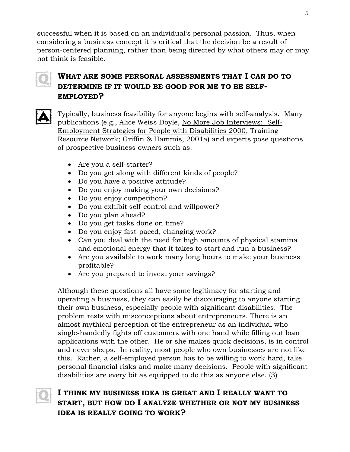successful when it is based on an individual's personal passion. Thus, when considering a business concept it is critical that the decision be a result of person-centered planning, rather than being directed by what others may or may not think is feasible.



## **WHAT ARE SOME PERSONAL ASSESSMENTS THAT I CAN DO TO DETERMINE IF IT WOULD BE GOOD FOR ME TO BE SELF-EMPLOYED?**



Typically, business feasibility for anyone begins with self-analysis. Many publications (e.g., Alice Weiss Doyle, No More Job Interviews: Self-Employment Strategies for People with Disabilities 2000, Training Resource Network; Griffin & Hammis, 2001a) and experts pose questions of prospective business owners such as:

- Are you a self-starter?
- Do you get along with different kinds of people?
- Do you have a positive attitude?
- Do you enjoy making your own decisions?
- Do you enjoy competition?
- Do you exhibit self-control and willpower?
- Do you plan ahead?
- Do you get tasks done on time?
- Do you enjoy fast-paced, changing work?
- Can you deal with the need for high amounts of physical stamina and emotional energy that it takes to start and run a business?
- Are you available to work many long hours to make your business profitable?
- Are you prepared to invest your savings?

Although these questions all have some legitimacy for starting and operating a business, they can easily be discouraging to anyone starting their own business, especially people with significant disabilities. The problem rests with misconceptions about entrepreneurs. There is an almost mythical perception of the entrepreneur as an individual who single-handedly fights off customers with one hand while filling out loan applications with the other. He or she makes quick decisions, is in control and never sleeps. In reality, most people who own businesses are not like this. Rather, a self-employed person has to be willing to work hard, take personal financial risks and make many decisions. People with significant disabilities are every bit as equipped to do this as anyone else. (3)



# **I THINK MY BUSINESS IDEA IS GREAT AND I REALLY WANT TO START, BUT HOW DO I ANALYZE WHETHER OR NOT MY BUSINESS IDEA IS REALLY GOING TO WORK?**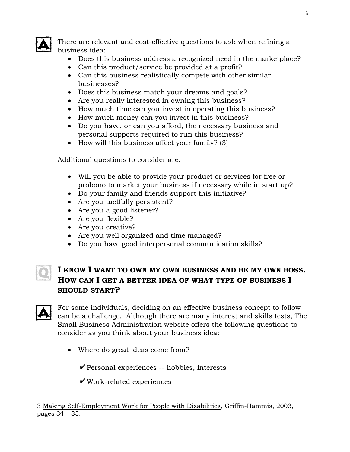

There are relevant and cost-effective questions to ask when refining a business idea:

- Does this business address a recognized need in the marketplace?
- Can this product/service be provided at a profit?
- Can this business realistically compete with other similar businesses?
- Does this business match your dreams and goals?
- Are you really interested in owning this business?
- How much time can you invest in operating this business?
- How much money can you invest in this business?
- Do you have, or can you afford, the necessary business and personal supports required to run this business?
- How will this business affect your family? (3)

Additional questions to consider are:

- Will you be able to provide your product or services for free or probono to market your business if necessary while in start up?
- Do your family and friends support this initiative?
- Are you tactfully persistent?
- Are you a good listener?
- Are you flexible?
- Are you creative?
- Are you well organized and time managed?
- Do you have good interpersonal communication skills?

# **I KNOW I WANT TO OWN MY OWN BUSINESS AND BE MY OWN BOSS. HOW CAN I GET A BETTER IDEA OF WHAT TYPE OF BUSINESS I SHOULD START?**



For some individuals, deciding on an effective business concept to follow can be a challenge. Although there are many interest and skills tests, The Small Business Administration website offers the following questions to consider as you think about your business idea:

• Where do great ideas come from?

 $\triangledown$  Personal experiences -- hobbies, interests

 $\checkmark$  Work-related experiences

i<br>L 3 Making Self-Employment Work for People with Disabilities, Griffin-Hammis, 2003, pages 34 – 35.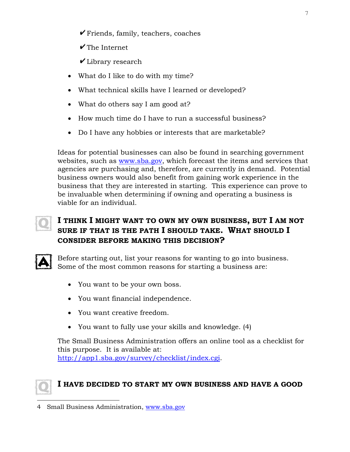- $\triangledown$  Friends, family, teachers, coaches
- $\checkmark$  The Internet
- $\overline{\mathbf{V}}$  Library research
- What do I like to do with my time?
- What technical skills have I learned or developed?
- What do others say I am good at?
- How much time do I have to run a successful business?
- Do I have any hobbies or interests that are marketable?

Ideas for potential businesses can also be found in searching government websites, such as [www.sba.gov,](http://www.sba.gov/) which forecast the items and services that agencies are purchasing and, therefore, are currently in demand. Potential business owners would also benefit from gaining work experience in the business that they are interested in starting. This experience can prove to be invaluable when determining if owning and operating a business is viable for an individual.

# **I THINK I MIGHT WANT TO OWN MY OWN BUSINESS, BUT I AM NOT SURE IF THAT IS THE PATH I SHOULD TAKE. WHAT SHOULD I CONSIDER BEFORE MAKING THIS DECISION?**



Before starting out, list your reasons for wanting to go into business. Some of the most common reasons for starting a business are:

- You want to be your own boss.
- You want financial independence.
- You want creative freedom.
- You want to fully use your skills and knowledge. (4)

The Small Business Administration offers an online tool as a checklist for this purpose. It is available at: [http://app1.sba.gov/survey/checklist/index.cgi.](http://app1.sba.gov/survey/checklist/index.cgi)



## **I HAVE DECIDED TO START MY OWN BUSINESS AND HAVE A GOOD**

J. 4 Small Business Administration, [www.sba.gov](http://www.sba.gov/)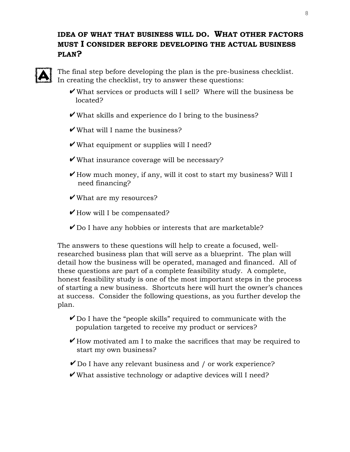## **IDEA OF WHAT THAT BUSINESS WILL DO. WHAT OTHER FACTORS MUST I CONSIDER BEFORE DEVELOPING THE ACTUAL BUSINESS PLAN?**



The final step before developing the plan is the pre-business checklist. In creating the checklist, try to answer these questions:

- $\overline{\mathsf{v}}$  What services or products will I sell? Where will the business be located?
- What skills and experience do I bring to the business?
- What will I name the business?
- $\overline{\mathsf{v}}$  What equipment or supplies will I need?
- $\blacktriangleright$  What insurance coverage will be necessary?
- $\blacktriangleright$  How much money, if any, will it cost to start my business? Will I need financing?
- What are my resources?
- $\blacktriangleright$  How will I be compensated?
- $\triangledown$  Do I have any hobbies or interests that are marketable?

The answers to these questions will help to create a focused, wellresearched [business plan](http://www.sba.gov/teens/myplan.html) that will serve as a blueprint. The plan will detail how the business will be operated, managed and financed. All of these questions are part of a complete feasibility study. A complete, honest feasibility study is one of the most important steps in the process of starting a new business. Shortcuts here will hurt the owner's chances at success. Consider the following questions, as you further develop the plan.

- $\triangledown$  Do I have the "people skills" required to communicate with the population targeted to receive my product or services?
- $\mathbf{\nabla}$  How motivated am I to make the sacrifices that may be required to start my own business?
- $\overline{V}$  Do I have any relevant business and / or work experience?
- What assistive technology or adaptive devices will I need?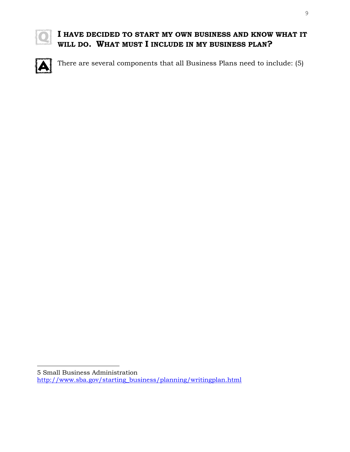

# **I HAVE DECIDED TO START MY OWN BUSINESS AND KNOW WHAT IT WILL DO. WHAT MUST I INCLUDE IN MY BUSINESS PLAN?**



There are several components that all Business Plans need to include: (5)

i<br>L

<sup>5</sup> Small Business Administration

[http://www.sba.gov/starting\\_business/planning/writingplan.html](http://www.sba.gov/starting_business/planning/writingplan.html)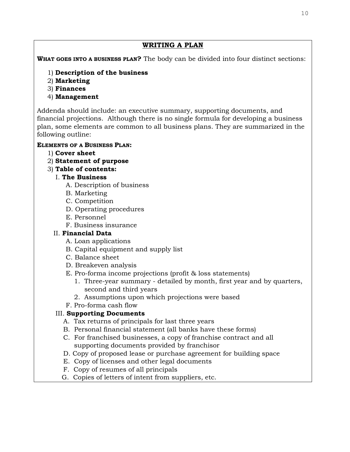#### **WRITING A PLAN**

**WHAT GOES INTO A BUSINESS PLAN?** The body can be divided into four distinct sections:

- 1) **Description of the business**
- 2) **Marketing**
- 3) **Finances**
- 4) **Management**

Addenda should include: an executive summary, supporting documents, and financial projections. Although there is no single formula for developing a business plan, some elements are common to all business plans. They are summarized in the following outline:

### **ELEMENTS OF A BUSINESS PLAN:**

- 1) **Cover sheet**
- 2) **Statement of purpose**
- 3) **Table of contents:**

## I. **The Business**

- A. Description of business
- B. Marketing
- C. Competition
- D. Operating procedures
- E. Personnel
- F. Business insurance

## II. **Financial Data**

- A. Loan applications
- B. Capital equipment and supply list
- C. Balance sheet
- D. Breakeven analysis
- E. Pro-forma income projections (profit & loss statements)
	- 1. Three-year summary detailed by month, first year and by quarters, second and third years
	- 2. Assumptions upon which projections were based
- F. Pro-forma cash flow

## III. **Supporting Documents**

- A. Tax returns of principals for last three years
- B. Personal financial statement (all banks have these forms)
- C. For franchised businesses, a copy of franchise contract and all supporting documents provided by franchisor
- D. Copy of proposed lease or purchase agreement for building space
- E. Copy of licenses and other legal documents
- F. Copy of resumes of all principals
- G. Copies of letters of intent from suppliers, etc.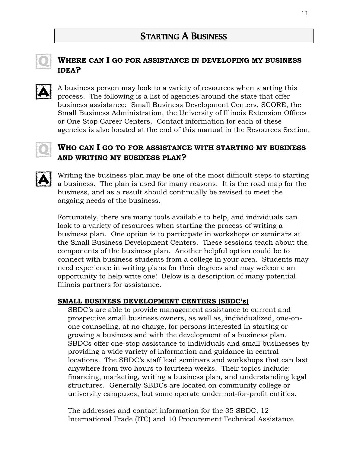

## **WHERE CAN I GO FOR ASSISTANCE IN DEVELOPING MY BUSINESS IDEA?**

A business person may look to a variety of resources when starting this process. The following is a list of agencies around the state that offer business assistance: Small Business Development Centers, SCORE, the Small Business Administration, the University of Illinois Extension Offices or One Stop Career Centers. Contact information for each of these agencies is also located at the end of this manual in the Resources Section.



## **WHO CAN I GO TO FOR ASSISTANCE WITH STARTING MY BUSINESS AND WRITING MY BUSINESS PLAN?**



Writing the business plan may be one of the most difficult steps to starting a business. The plan is used for many reasons. It is the road map for the business, and as a result should continually be revised to meet the ongoing needs of the business.

Fortunately, there are many tools available to help, and individuals can look to a variety of resources when starting the process of writing a business plan. One option is to participate in workshops or seminars at the Small Business Development Centers. These sessions teach about the components of the business plan. Another helpful option could be to connect with business students from a college in your area. Students may need experience in writing plans for their degrees and may welcome an opportunity to help write one! Below is a description of many potential Illinois partners for assistance.

#### **SMALL BUSINESS DEVELOPMENT CENTERS (SBDC's)**

SBDC's are able to provide management assistance to current and prospective small business owners, as well as, individualized, one-onone counseling, at no charge, for persons interested in starting or growing a business and with the development of a business plan. SBDCs offer one-stop assistance to individuals and small businesses by providing a wide variety of information and guidance in central locations. The SBDC's staff lead seminars and workshops that can last anywhere from two hours to fourteen weeks. Their topics include: financing, marketing, writing a business plan, and understanding legal structures. Generally SBDCs are located on community college or university campuses, but some operate under not-for-profit entities.

The addresses and contact information for the 35 SBDC, 12 International Trade (ITC) and 10 Procurement Technical Assistance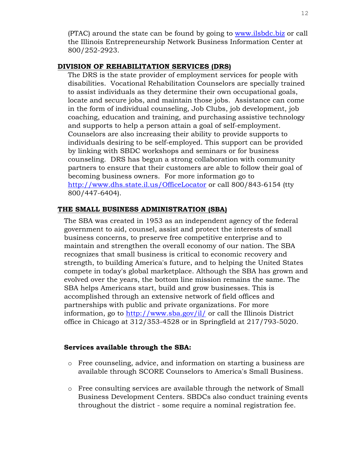(PTAC) around the state can be found by going to [www.ilsbdc.biz](http://www.ilsbdc.biz/) or call the Illinois Entrepreneurship Network Business Information Center at 800/252-2923.

#### **DIVISION OF REHABILITATION SERVICES (DRS)**

The DRS is the state provider of employment services for people with disabilities. Vocational Rehabilitation Counselors are specially trained to assist individuals as they determine their own occupational goals, locate and secure jobs, and maintain those jobs. Assistance can come in the form of individual counseling, Job Clubs, job development, job coaching, education and training, and purchasing assistive technology and supports to help a person attain a goal of self-employment. Counselors are also increasing their ability to provide supports to individuals desiring to be self-employed. This support can be provided by linking with SBDC workshops and seminars or for business counseling. DRS has begun a strong collaboration with community partners to ensure that their customers are able to follow their goal of becoming business owners. For more information go to <http://www.dhs.state.il.us/OfficeLocator> or call 800/843-6154 (tty 800/447-6404).

#### **THE SMALL BUSINESS ADMINISTRATION (SBA)**

The SBA was created in 1953 as an independent agency of the federal government to aid, counsel, assist and protect the interests of small business concerns, to preserve free competitive enterprise and to maintain and strengthen the overall economy of our nation. The SBA recognizes that small business is critical to economic recovery and strength, to building America's future, and to helping the United States compete in today's global marketplace. Although the SBA has grown and evolved over the years, the bottom line mission remains the same. The SBA helps Americans start, build and grow businesses. This is accomplished through an extensive network of field offices and partnerships with public and private organizations. For more information, go to<http://www.sba.gov/il/> or call the Illinois District office in Chicago at 312/353-4528 or in Springfield at 217/793-5020.

#### **Services available through the SBA:**

- o Free counseling, advice, and information on starting a business are available through SCORE Counselors to America's Small Business.
- o Free consulting services are available through the network of Small Business Development Centers. SBDCs also conduct training events throughout the district - some require a nominal registration fee.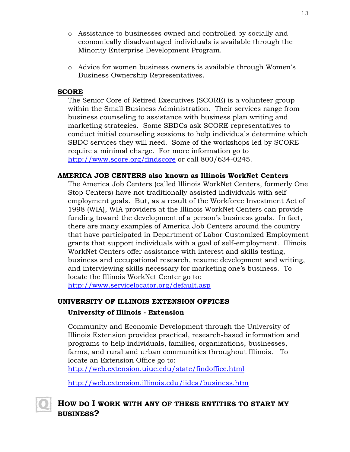- o Assistance to businesses owned and controlled by socially and economically disadvantaged individuals is available through the Minority Enterprise Development Program.
- o Advice for women business owners is available through Women's Business Ownership Representatives.

#### **SCORE**

The Senior Core of Retired Executives (SCORE) is a volunteer group within the Small Business Administration. Their services range from business counseling to assistance with business plan writing and marketing strategies. Some SBDCs ask SCORE representatives to conduct initial counseling sessions to help individuals determine which SBDC services they will need. Some of the workshops led by SCORE require a minimal charge. For more information go to <http://www.score.org/findscore> or call 800/634-0245.

#### **AMERICA JOB CENTERS also known as Illinois WorkNet Centers**

The America Job Centers (called Illinois WorkNet Centers, formerly One Stop Centers) have not traditionally assisted individuals with self employment goals. But, as a result of the Workforce Investment Act of 1998 (WIA), WIA providers at the Illinois WorkNet Centers can provide funding toward the development of a person's business goals. In fact, there are many examples of America Job Centers around the country that have participated in Department of Labor Customized Employment grants that support individuals with a goal of self-employment. Illinois WorkNet Centers offer assistance with interest and skills testing, business and occupational research, resume development and writing, and interviewing skills necessary for marketing one's business. To locate the Illinois WorkNet Center go to: <http://www.servicelocator.org/default.asp>

#### **UNIVERSITY OF ILLINOIS EXTENSION OFFICES**

#### **University of Illinois - Extension**

Community and Economic Development through the University of Illinois Extension provides practical, research-based information and programs to help individuals, families, organizations, businesses, farms, and rural and urban communities throughout Illinois. To locate an Extension Office go to:

<http://web.extension.uiuc.edu/state/findoffice.html>

<http://web.extension.illinois.edu/iidea/business.htm>

## **HOW DO I WORK WITH ANY OF THESE ENTITIES TO START MY BUSINESS?**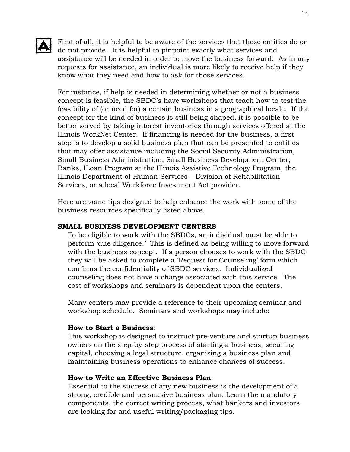

First of all, it is helpful to be aware of the services that these entities do or<br>do not provide It is helpful to given the services that these entities do or do not provide. It is helpful to pinpoint exactly what services and assistance will be needed in order to move the business forward. As in any requests for assistance, an individual is more likely to receive help if they know what they need and how to ask for those services.

For instance, if help is needed in determining whether or not a business concept is feasible, the SBDC's have workshops that teach how to test the feasibility of (or need for) a certain business in a geographical locale. If the concept for the kind of business is still being shaped, it is possible to be better served by taking interest inventories through services offered at the Illinois WorkNet Center. If financing is needed for the business, a first step is to develop a solid business plan that can be presented to entities that may offer assistance including the Social Security Administration, Small Business Administration, Small Business Development Center, Banks, ILoan Program at the Illinois Assistive Technology Program, the Illinois Department of Human Services – Division of Rehabilitation Services, or a local Workforce Investment Act provider.

Here are some tips designed to help enhance the work with some of the business resources specifically listed above.

#### **SMALL BUSINESS DEVELOPMENT CENTERS**

To be eligible to work with the SBDCs, an individual must be able to perform 'due diligence.' This is defined as being willing to move forward with the business concept. If a person chooses to work with the SBDC they will be asked to complete a 'Request for Counseling' form which confirms the confidentiality of SBDC services. Individualized counseling does not have a charge associated with this service. The cost of workshops and seminars is dependent upon the centers.

Many centers may provide a reference to their upcoming seminar and workshop schedule. Seminars and workshops may include:

#### **How to Start a Business**:

This workshop is designed to instruct pre-venture and startup business owners on the step-by-step process of starting a business, securing capital, choosing a legal structure, organizing a business plan and maintaining business operations to enhance chances of success.

#### **How to Write an Effective Business Plan**:

Essential to the success of any new business is the development of a strong, credible and persuasive business plan. Learn the mandatory components, the correct writing process, what bankers and investors are looking for and useful writing/packaging tips.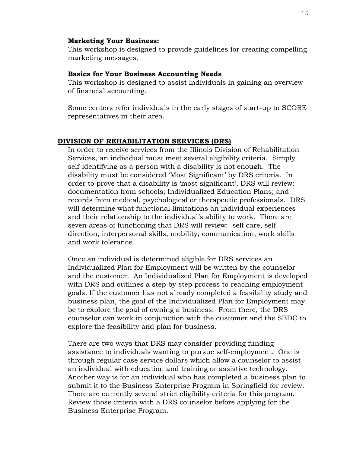#### **Marketing Your Business:**

This workshop is designed to provide guidelines for creating compelling marketing messages.

#### **Basics for Your Business Accounting Needs**

This workshop is designed to assist individuals in gaining an overview of financial accounting.

Some centers refer individuals in the early stages of start-up to SCORE representatives in their area.

#### **DIVISION OF REHABILITATION SERVICES (DRS)**

In order to receive services from the Illinois Division of Rehabilitation Services, an individual must meet several eligibility criteria. Simply self-identifying as a person with a disability is not enough. The disability must be considered 'Most Significant' by DRS criteria. In order to prove that a disability is 'most significant', DRS will review: documentation from schools; Individualized Education Plans; and records from medical, psychological or therapeutic professionals. DRS will determine what functional limitations an individual experiences and their relationship to the individual's ability to work. There are seven areas of functioning that DRS will review: self care, self direction, interpersonal skills, mobility, communication, work skills and work tolerance.

Once an individual is determined eligible for DRS services an Individualized Plan for Employment will be written by the counselor and the customer. An Individualized Plan for Employment is developed with DRS and outlines a step by step process to reaching employment goals. If the customer has not already completed a feasibility study and business plan, the goal of the Individualized Plan for Employment may be to explore the goal of owning a business. From there, the DRS counselor can work in conjunction with the customer and the SBDC to explore the feasibility and plan for business.

There are two ways that DRS may consider providing funding assistance to individuals wanting to pursue self-employment. One is through regular case service dollars which allow a counselor to assist an individual with education and training or assistive technology. Another way is for an individual who has completed a business plan to submit it to the Business Enterprise Program in Springfield for review. There are currently several strict eligibility criteria for this program. Review those criteria with a DRS counselor before applying for the Business Enterprise Program.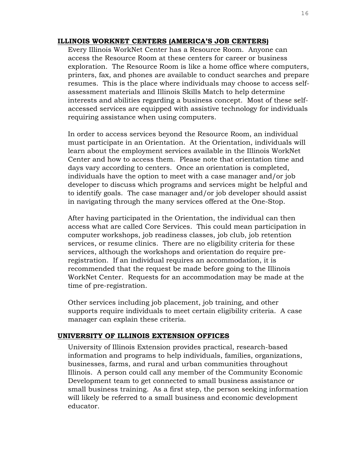#### **ILLINOIS WORKNET CENTERS (AMERICA'S JOB CENTERS)**

Every Illinois WorkNet Center has a Resource Room. Anyone can access the Resource Room at these centers for career or business exploration. The Resource Room is like a home office where computers, printers, fax, and phones are available to conduct searches and prepare resumes. This is the place where individuals may choose to access selfassessment materials and Illinois Skills Match to help determine interests and abilities regarding a business concept. Most of these selfaccessed services are equipped with assistive technology for individuals requiring assistance when using computers.

In order to access services beyond the Resource Room, an individual must participate in an Orientation. At the Orientation, individuals will learn about the employment services available in the Illinois WorkNet Center and how to access them. Please note that orientation time and days vary according to centers. Once an orientation is completed, individuals have the option to meet with a case manager and/or job developer to discuss which programs and services might be helpful and to identify goals. The case manager and/or job developer should assist in navigating through the many services offered at the One-Stop.

After having participated in the Orientation, the individual can then access what are called Core Services. This could mean participation in computer workshops, job readiness classes, job club, job retention services, or resume clinics. There are no eligibility criteria for these services, although the workshops and orientation do require preregistration. If an individual requires an accommodation, it is recommended that the request be made before going to the Illinois WorkNet Center. Requests for an accommodation may be made at the time of pre-registration.

Other services including job placement, job training, and other supports require individuals to meet certain eligibility criteria. A case manager can explain these criteria.

#### **UNIVERSITY OF ILLINOIS EXTENSION OFFICES**

University of Illinois Extension provides practical, research-based information and programs to help individuals, families, organizations, businesses, farms, and rural and urban communities throughout Illinois. A person could call any member of the Community Economic Development team to get connected to small business assistance or small business training. As a first step, the person seeking information will likely be referred to a small business and economic development educator.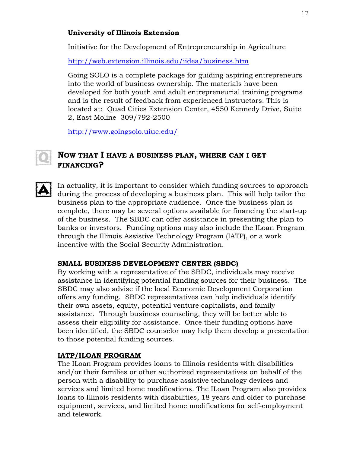#### **University of Illinois Extension**

Initiative for the Development of Entrepreneurship in Agriculture

<http://web.extension.illinois.edu/iidea/business.htm>

Going SOLO is a complete package for guiding aspiring entrepreneurs into the world of business ownership. The materials have been developed for both youth and adult entrepreneurial training programs and is the result of feedback from experienced instructors. This is located at: Quad Cities Extension Center, 4550 Kennedy Drive, Suite 2, East Moline 309/792-2500

<http://www.goingsolo.uiuc.edu/>

## **NOW THAT I HAVE A BUSINESS PLAN, WHERE CAN I GET FINANCING?**



In actuality, it is important to consider which funding sources to approach during the process of developing a business plan. This will help tailor the business plan to the appropriate audience. Once the business plan is complete, there may be several options available for financing the start-up of the business. The SBDC can offer assistance in presenting the plan to banks or investors. Funding options may also include the ILoan Program through the Illinois Assistive Technology Program (IATP), or a work incentive with the Social Security Administration.

## **SMALL BUSINESS DEVELOPMENT CENTER (SBDC)**

By working with a representative of the SBDC, individuals may receive assistance in identifying potential funding sources for their business. The SBDC may also advise if the local Economic Development Corporation offers any funding. SBDC representatives can help individuals identify their own assets, equity, potential venture capitalists, and family assistance. Through business counseling, they will be better able to assess their eligibility for assistance. Once their funding options have been identified, the SBDC counselor may help them develop a presentation to those potential funding sources.

## **IATP/ILOAN PROGRAM**

The ILoan Program provides loans to Illinois residents with disabilities and/or their families or other authorized representatives on behalf of the person with a disability to purchase assistive technology devices and services and limited home modifications. The ILoan Program also provides loans to Illinois residents with disabilities, 18 years and older to purchase equipment, services, and limited home modifications for self-employment and telework.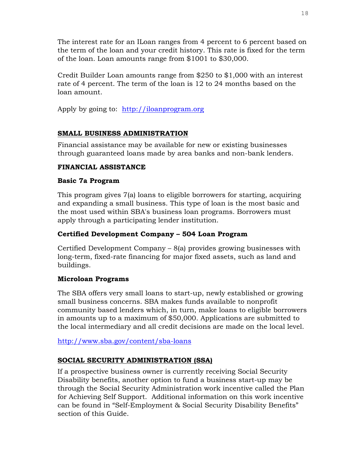The interest rate for an ILoan ranges from 4 percent to 6 percent based on the term of the loan and your credit history. This rate is fixed for the term of the loan. Loan amounts range from \$1001 to \$30,000.

Credit Builder Loan amounts range from \$250 to \$1,000 with an interest rate of 4 percent. The term of the loan is 12 to 24 months based on the loan amount.

Apply by going to: [http://iloanprogram.org](http://iloanprogram.org/) 

### **SMALL BUSINESS ADMINISTRATION**

Financial assistance may be available for new or existing businesses through guaranteed loans made by area banks and non-bank lenders.

### **FINANCIAL ASSISTANCE**

#### **Basic 7a Program**

This program gives 7(a) loans to eligible borrowers for starting, acquiring and expanding a small business. This type of loan is the most basic and the most used within SBA's business loan programs. Borrowers must apply through a participating lender institution.

#### **Certified Development Company – 504 Loan Program**

Certified Development Company – 8(a) provides growing businesses with long-term, fixed-rate financing for major fixed assets, such as land and buildings.

#### **Microloan Programs**

The SBA offers very small loans to start-up, newly established or growing small business concerns. SBA makes funds available to nonprofit community based lenders which, in turn, make loans to eligible borrowers in amounts up to a maximum of \$50,000. Applications are submitted to the local intermediary and all credit decisions are made on the local level.

#### <http://www.sba.gov/content/sba-loans>

## **SOCIAL SECURITY ADMINISTRATION (SSA)**

If a prospective business owner is currently receiving Social Security Disability benefits, another option to fund a business start-up may be through the Social Security Administration work incentive called the Plan for Achieving Self Support. Additional information on this work incentive can be found in "Self-Employment & Social Security Disability Benefits" section of this Guide.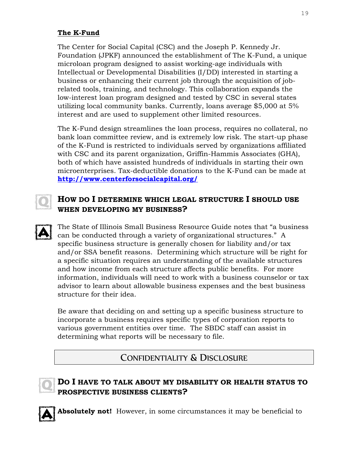## **The K-Fund**

The Center for Social Capital (CSC) and the Joseph P. Kennedy Jr. Foundation (JPKF) announced the establishment of The K-Fund, a unique microloan program designed to assist working-age individuals with Intellectual or Developmental Disabilities (I/DD) interested in starting a business or enhancing their current job through the acquisition of jobrelated tools, training, and technology. This collaboration expands the low-interest loan program designed and tested by CSC in several states utilizing local community banks. Currently, loans average \$5,000 at 5% interest and are used to supplement other limited resources.

The K-Fund design streamlines the loan process, requires no collateral, no bank loan committee review, and is extremely low risk. The start-up phase of the K-Fund is restricted to individuals served by organizations affiliated with CSC and its parent organization, Griffin-Hammis Associates (GHA), both of which have assisted hundreds of individuals in starting their own microenterprises. Tax-deductible donations to the K-Fund can be made at **<http://www.centerforsocialcapital.org/>**



## **HOW DO I DETERMINE WHICH LEGAL STRUCTURE I SHOULD USE WHEN DEVELOPING MY BUSINESS?**

The State of Illinois Small Business Resource Guide notes that "a business can be conducted through a variety of organizational structures." A specific business structure is generally chosen for liability and/or tax and/or SSA benefit reasons. Determining which structure will be right for a specific situation requires an understanding of the available structures and how income from each structure affects public benefits. For more information, individuals will need to work with a business counselor or tax advisor to learn about allowable business expenses and the best business structure for their idea.

Be aware that deciding on and setting up a specific business structure to incorporate a business requires specific types of corporation reports to various government entities over time. The SBDC staff can assist in determining what reports will be necessary to file.

# CONFIDENTIALITY & DISCLOSURE



## **DO I HAVE TO TALK ABOUT MY DISABILITY OR HEALTH STATUS TO PROSPECTIVE BUSINESS CLIENTS?**

**Absolutely not!** However, in some circumstances it may be beneficial to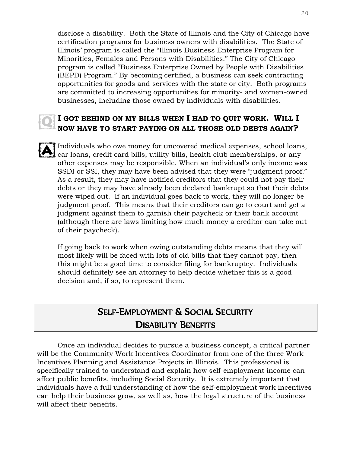disclose a disability. Both the State of Illinois and the City of Chicago have certification programs for business owners with disabilities. The State of Illinois' program is called the "Illinois Business Enterprise Program for Minorities, Females and Persons with Disabilities." The City of Chicago program is called "Business Enterprise Owned by People with Disabilities (BEPD) Program." By becoming certified, a business can seek contracting opportunities for goods and services with the state or city. Both programs are committed to increasing opportunities for minority- and women-owned businesses, including those owned by individuals with disabilities.

## **I GOT BEHIND ON MY BILLS WHEN I HAD TO QUIT WORK. WILL I NOW HAVE TO START PAYING ON ALL THOSE OLD DEBTS AGAIN?**

Individuals who owe money for uncovered medical expenses, school loans, car loans, credit card bills, utility bills, health club memberships, or any other expenses may be responsible. When an individual's only income was SSDI or SSI, they may have been advised that they were "judgment proof." As a result, they may have notified creditors that they could not pay their debts or they may have already been declared bankrupt so that their debts were wiped out. If an individual goes back to work, they will no longer be judgment proof. This means that their creditors can go to court and get a judgment against them to garnish their paycheck or their bank account (although there are laws limiting how much money a creditor can take out of their paycheck).

If going back to work when owing outstanding debts means that they will most likely will be faced with lots of old bills that they cannot pay, then this might be a good time to consider filing for bankruptcy. Individuals should definitely see an attorney to help decide whether this is a good decision and, if so, to represent them.

# SELF-EMPLOYMENT & SOCIAL SECURITY DISABILITY BENEFITS

Once an individual decides to pursue a business concept, a critical partner will be the Community Work Incentives Coordinator from one of the three Work Incentives Planning and Assistance Projects in Illinois. This professional is specifically trained to understand and explain how self-employment income can affect public benefits, including Social Security. It is extremely important that individuals have a full understanding of how the self-employment work incentives can help their business grow, as well as, how the legal structure of the business will affect their benefits.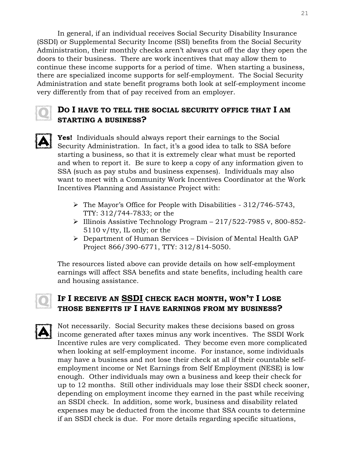In general, if an individual receives Social Security Disability Insurance (SSDI) or Supplemental Security Income (SSI) benefits from the Social Security Administration, their monthly checks aren't always cut off the day they open the doors to their business. There are work incentives that may allow them to continue these income supports for a period of time. When starting a business, there are specialized income supports for self-employment. The Social Security Administration and state benefit programs both look at self-employment income very differently from that of pay received from an employer.



## **DO I HAVE TO TELL THE SOCIAL SECURITY OFFICE THAT I AM STARTING A BUSINESS?**

**Yes!** Individuals should always report their earnings to the Social Security Administration. In fact, it's a good idea to talk to SSA before starting a business, so that it is extremely clear what must be reported and when to report it. Be sure to keep a copy of any information given to SSA (such as pay stubs and business expenses). Individuals may also want to meet with a Community Work Incentives Coordinator at the Work Incentives Planning and Assistance Project with:

- $\triangleright$  The Mayor's Office for People with Disabilities 312/746-5743, TTY: 312/744-7833; or the
- $\geq$  Illinois Assistive Technology Program 217/522-7985 v, 800-852-5110 v/tty, IL only; or the
- $\triangleright$  Department of Human Services Division of Mental Health GAP Project 866/390-6771, TTY: 312/814-5050.

The resources listed above can provide details on how self-employment earnings will affect SSA benefits and state benefits, including health care and housing assistance.

# **IF I RECEIVE AN SSDI CHECK EACH MONTH, WON'T I LOSE THOSE BENEFITS IF I HAVE EARNINGS FROM MY BUSINESS?**

Not necessarily. Social Security makes these decisions based on gross income generated after taxes minus any work incentives. The SSDI Work Incentive rules are very complicated. They become even more complicated when looking at self-employment income. For instance, some individuals may have a business and not lose their check at all if their countable selfemployment income or Net Earnings from Self Employment (NESE) is low enough. Other individuals may own a business and keep their check for up to 12 months. Still other individuals may lose their SSDI check sooner, depending on employment income they earned in the past while receiving an SSDI check. In addition, some work, business and disability related expenses may be deducted from the income that SSA counts to determine if an SSDI check is due. For more details regarding specific situations,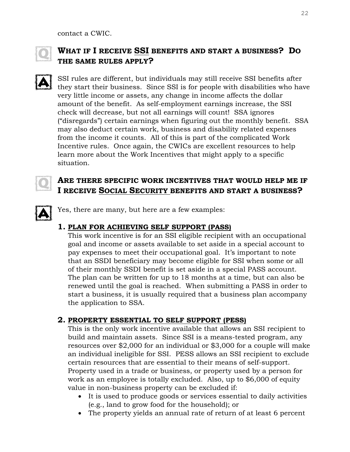contact a CWIC.



# **WHAT IF I RECEIVE SSI BENEFITS AND START A BUSINESS? DO THE SAME RULES APPLY?**

SSI rules are different, but individuals may still receive SSI benefits after they start their business. Since SSI is for people with disabilities who have very little income or assets, any change in income affects the dollar amount of the benefit. As self-employment earnings increase, the SSI check will decrease, but not all earnings will count! SSA ignores ("disregards") certain earnings when figuring out the monthly benefit. SSA may also deduct certain work, business and disability related expenses from the income it counts. All of this is part of the complicated Work Incentive rules. Once again, the CWICs are excellent resources to help learn more about the Work Incentives that might apply to a specific situation.

## **ARE THERE SPECIFIC WORK INCENTIVES THAT WOULD HELP ME IF I RECEIVE SOCIAL SECURITY BENEFITS AND START A BUSINESS?**

Yes, there are many, but here are a few examples:

## **1. PLAN FOR ACHIEVING SELF SUPPORT (PASS)**

This work incentive is for an SSI eligible recipient with an occupational goal and income or assets available to set aside in a special account to pay expenses to meet their occupational goal. It's important to note that an SSDI beneficiary may become eligible for SSI when some or all of their monthly SSDI benefit is set aside in a special PASS account. The plan can be written for up to 18 months at a time, but can also be renewed until the goal is reached. When submitting a PASS in order to start a business, it is usually required that a business plan accompany the application to SSA.

## **2. PROPERTY ESSENTIAL TO SELF SUPPORT (PESS)**

This is the only work incentive available that allows an SSI recipient to build and maintain assets. Since SSI is a means-tested program, any resources over \$2,000 for an individual or \$3,000 for a couple will make an individual ineligible for SSI. PESS allows an SSI recipient to exclude certain resources that are essential to their means of self-support. Property used in a trade or business, or property used by a person for work as an employee is totally excluded. Also, up to \$6,000 of equity value in non-business property can be excluded if:

- It is used to produce goods or services essential to daily activities (e.g., land to grow food for the household); or
- The property yields an annual rate of return of at least 6 percent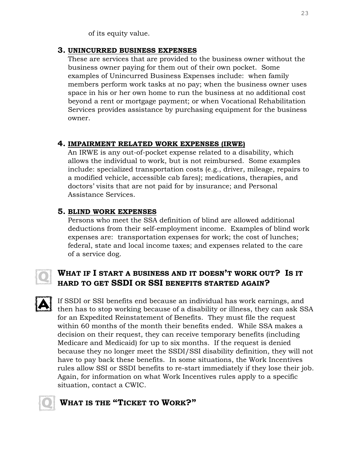of its equity value.

### **3. UNINCURRED BUSINESS EXPENSES**

These are services that are provided to the business owner without the business owner paying for them out of their own pocket. Some examples of Unincurred Business Expenses include: when family members perform work tasks at no pay; when the business owner uses space in his or her own home to run the business at no additional cost beyond a rent or mortgage payment; or when Vocational Rehabilitation Services provides assistance by purchasing equipment for the business owner.

## **4. IMPAIRMENT RELATED WORK EXPENSES (IRWE)**

An IRWE is any out-of-pocket expense related to a disability, which allows the individual to work, but is not reimbursed. Some examples include: specialized transportation costs (e.g., driver, mileage, repairs to a modified vehicle, accessible cab fares); medications, therapies, and doctors' visits that are not paid for by insurance; and Personal Assistance Services.

## **5. BLIND WORK EXPENSES**

Persons who meet the SSA definition of blind are allowed additional deductions from their self-employment income. Examples of blind work expenses are: transportation expenses for work; the cost of lunches; federal, state and local income taxes; and expenses related to the care of a service dog.

## **WHAT IF I START A BUSINESS AND IT DOESN'T WORK OUT? IS IT HARD TO GET SSDI OR SSI BENEFITS STARTED AGAIN?**

If SSDI or SSI benefits end because an individual has work earnings, and then has to stop working because of a disability or illness, they can ask SSA for an Expedited Reinstatement of Benefits. They must file the request within 60 months of the month their benefits ended. While SSA makes a decision on their request, they can receive temporary benefits (including Medicare and Medicaid) for up to six months. If the request is denied because they no longer meet the SSDI/SSI disability definition, they will not have to pay back these benefits. In some situations, the Work Incentives rules allow SSI or SSDI benefits to re-start immediately if they lose their job. Again, for information on what Work Incentives rules apply to a specific situation, contact a CWIC.

# **WHAT IS THE "TICKET TO WORK?"**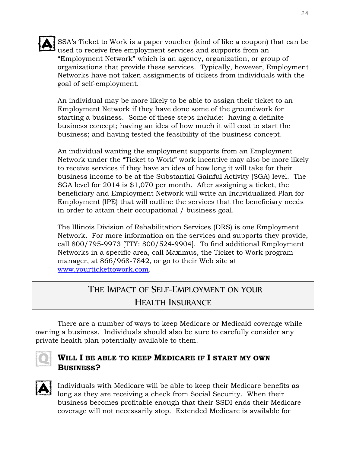

SSA's Ticket to Work is a paper voucher (kind of like a coupon) that can be used to receive free employment services and supports from an "Employment Network" which is an agency, organization, or group of organizations that provide these services. Typically, however, Employment Networks have not taken assignments of tickets from individuals with the goal of self-employment.

An individual may be more likely to be able to assign their ticket to an Employment Network if they have done some of the groundwork for starting a business. Some of these steps include: having a definite business concept; having an idea of how much it will cost to start the business; and having tested the feasibility of the business concept.

An individual wanting the employment supports from an Employment Network under the "Ticket to Work" work incentive may also be more likely to receive services if they have an idea of how long it will take for their business income to be at the Substantial Gainful Activity (SGA) level. The SGA level for 2014 is \$1,070 per month. After assigning a ticket, the beneficiary and Employment Network will write an Individualized Plan for Employment (IPE) that will outline the services that the beneficiary needs in order to attain their occupational / business goal.

The Illinois Division of Rehabilitation Services (DRS) is one Employment Network. For more information on the services and supports they provide, call 800/795-9973 [TTY: 800/524-9904]. To find additional Employment Networks in a specific area, call Maximus, the Ticket to Work program manager, at 866/968-7842, or go to their Web site at [www.yourtickettowork.com.](http://www.yourtickettowork.com/)

# THE IMPACT OF SELF-EMPLOYMENT ON YOUR

# HEALTH INSURANCE

There are a number of ways to keep Medicare or Medicaid coverage while owning a business. Individuals should also be sure to carefully consider any private health plan potentially available to them.



## **WILL I BE ABLE TO KEEP MEDICARE IF I START MY OWN BUSINESS?**

Individuals with Medicare will be able to keep their Medicare benefits as long as they are receiving a check from Social Security. When their business becomes profitable enough that their SSDI ends their Medicare coverage will not necessarily stop. Extended Medicare is available for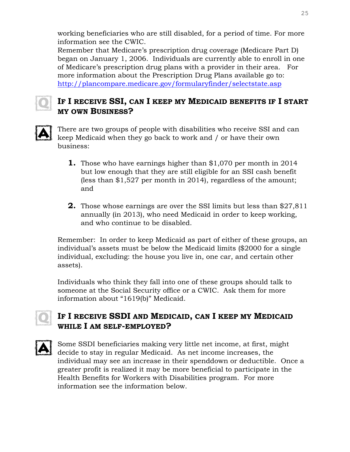working beneficiaries who are still disabled, for a period of time. For more information see the CWIC.

Remember that Medicare's prescription drug coverage (Medicare Part D) began on January 1, 2006. Individuals are currently able to enroll in one of Medicare's prescription drug plans with a provider in their area. For more information about the Prescription Drug Plans available go to: <http://plancompare.medicare.gov/formularyfinder/selectstate.asp>



# **IF I RECEIVE SSI, CAN I KEEP MY MEDICAID BENEFITS IF I START MY OWN BUSINESS?**



There are two groups of people with disabilities who receive SSI and can keep Medicaid when they go back to work and / or have their own business:

- **1.** Those who have earnings higher than \$1,070 per month in 2014 but low enough that they are still eligible for an SSI cash benefit (less than \$1,527 per month in 2014), regardless of the amount; and
- **2.** Those whose earnings are over the SSI limits but less than \$27,811 annually (in 2013), who need Medicaid in order to keep working, and who continue to be disabled.

Remember: In order to keep Medicaid as part of either of these groups, an individual's assets must be below the Medicaid limits (\$2000 for a single individual, excluding: the house you live in, one car, and certain other assets).

Individuals who think they fall into one of these groups should talk to someone at the Social Security office or a CWIC. Ask them for more information about "1619(b)" Medicaid.

# **IF I RECEIVE SSDI AND MEDICAID, CAN I KEEP MY MEDICAID WHILE I AM SELF-EMPLOYED?**



Some SSDI beneficiaries making very little net income, at first, might decide to stay in regular Medicaid. As net income increases, the individual may see an increase in their spenddown or deductible. Once a greater profit is realized it may be more beneficial to participate in the Health Benefits for Workers with Disabilities program. For more information see the information below.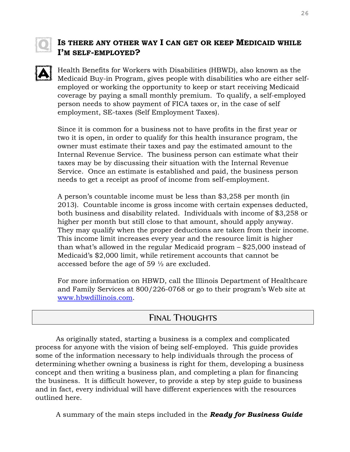## **IS THERE ANY OTHER WAY I CAN GET OR KEEP MEDICAID WHILE I'M SELF-EMPLOYED?**

Health Benefits for Workers with Disabilities (HBWD), also known as the Medicaid Buy-in Program, gives people with disabilities who are either selfemployed or working the opportunity to keep or start receiving Medicaid coverage by paying a small monthly premium. To qualify, a self-employed person needs to show payment of FICA taxes or, in the case of self employment, SE-taxes (Self Employment Taxes).

Since it is common for a business not to have profits in the first year or two it is open, in order to qualify for this health insurance program, the owner must estimate their taxes and pay the estimated amount to the Internal Revenue Service. The business person can estimate what their taxes may be by discussing their situation with the Internal Revenue Service. Once an estimate is established and paid, the business person needs to get a receipt as proof of income from self-employment.

A person's countable income must be less than \$3,258 per month (in 2013). Countable income is gross income with certain expenses deducted, both business and disability related. Individuals with income of \$3,258 or higher per month but still close to that amount, should apply anyway. They may qualify when the proper deductions are taken from their income. This income limit increases every year and the resource limit is higher than what's allowed in the regular Medicaid program – \$25,000 instead of Medicaid's \$2,000 limit, while retirement accounts that cannot be accessed before the age of 59 ½ are excluded.

For more information on HBWD, call the Illinois Department of Healthcare and Family Services at 800/226-0768 or go to their program's Web site at [www.hbwdillinois.com.](http://www.hbwdillinois.com/)

# FINAL THOUGHTS

As originally stated, starting a business is a complex and complicated process for anyone with the vision of being self-employed. This guide provides some of the information necessary to help individuals through the process of determining whether owning a business is right for them, developing a business concept and then writing a business plan, and completing a plan for financing the business. It is difficult however, to provide a step by step guide to business and in fact, every individual will have different experiences with the resources outlined here.

A summary of the main steps included in the *Ready for Business Guide*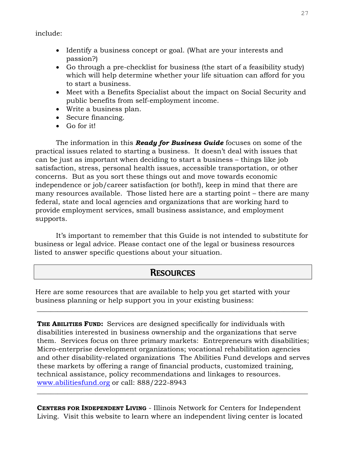include:

- Identify a business concept or goal. (What are your interests and passion?)
- Go through a pre-checklist for business (the start of a feasibility study) which will help determine whether your life situation can afford for you to start a business.
- Meet with a Benefits Specialist about the impact on Social Security and public benefits from self-employment income.
- Write a business plan.
- Secure financing.
- Go for it!

The information in this *Ready for Business Guide* focuses on some of the practical issues related to starting a business. It doesn't deal with issues that can be just as important when deciding to start a business – things like job satisfaction, stress, personal health issues, accessible transportation, or other concerns. But as you sort these things out and move towards economic independence or job/career satisfaction (or both!), keep in mind that there are many resources available. Those listed here are a starting point – there are many federal, state and local agencies and organizations that are working hard to provide employment services, small business assistance, and employment supports.

It's important to remember that this Guide is not intended to substitute for business or legal advice. Please contact one of the legal or business resources listed to answer specific questions about your situation.

# RESOURCES

\_\_\_\_\_\_\_\_\_\_\_\_\_\_\_\_\_\_\_\_\_\_\_\_\_\_\_\_\_\_\_\_\_\_\_\_\_\_\_\_\_\_\_\_\_\_\_\_\_\_\_\_\_\_\_\_\_\_\_\_\_\_\_\_\_\_\_\_\_\_\_\_\_\_\_\_\_\_\_

Here are some resources that are available to help you get started with your business planning or help support you in your existing business:

**THE ABILITIES FUND:** Services are designed specifically for individuals with disabilities interested in business ownership and the organizations that serve them. Services focus on three primary markets: Entrepreneurs with disabilities; Micro-enterprise development organizations; vocational rehabilitation agencies and other disability-related organizations The Abilities Fund develops and serves these markets by offering a range of financial products, customized training, technical assistance, policy recommendations and linkages to resources. [www.abilitiesfund.org](http://www.abilitiesfund.org/) or call: 888/222-8943

**CENTERS FOR INDEPENDENT LIVING** - Illinois Network for Centers for Independent Living. Visit this website to learn where an independent living center is located

 $\_$  , and the set of the set of the set of the set of the set of the set of the set of the set of the set of the set of the set of the set of the set of the set of the set of the set of the set of the set of the set of th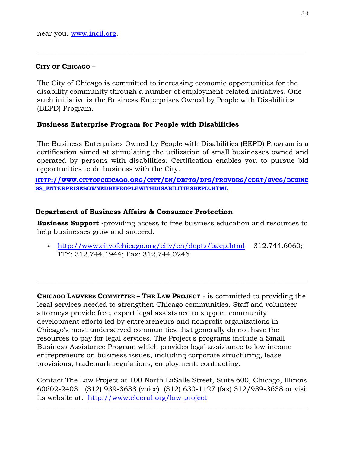#### **CITY OF CHICAGO –**

The City of Chicago is committed to increasing economic opportunities for the disability community through a number of employment-related initiatives. One such initiative is the Business Enterprises Owned by People with Disabilities (BEPD) Program.

\_\_\_\_\_\_\_\_\_\_\_\_\_\_\_\_\_\_\_\_\_\_\_\_\_\_\_\_\_\_\_\_\_\_\_\_\_\_\_\_\_\_\_\_\_\_\_\_\_\_\_\_\_\_\_\_\_\_\_\_\_\_\_\_\_\_\_\_\_\_\_\_\_\_\_\_\_\_

#### **Business Enterprise Program for People with Disabilities**

The Business Enterprises Owned by People with Disabilities (BEPD) Program is a certification aimed at stimulating the utilization of small businesses owned and operated by persons with disabilities. Certification enables you to pursue bid opportunities to do business with the City.

HTTP://WWW.[CITYOFCHICAGO](http://www.cityofchicago.org/city/en/depts/dps/provdrs/cert/svcs/business_enterprisesownedbypeoplewithdisabilitiesbepd.html).ORG/CITY/EN/DEPTS/DPS/PROVDRS/CERT/SVCS/BUSINE **SS\_[ENTERPRISESOWNEDBYPEOPLEWITHDISABILITIESBEPD](http://www.cityofchicago.org/city/en/depts/dps/provdrs/cert/svcs/business_enterprisesownedbypeoplewithdisabilitiesbepd.html).HTML**

#### **Department of Business Affairs & Consumer Protection**

**Business Support -**providing access to free business education and resources to help businesses grow and succeed.

 <http://www.cityofchicago.org/city/en/depts/bacp.html>312.744.6060; TTY: 312.744.1944; Fax: 312.744.0246

 $\_$  , and the set of the set of the set of the set of the set of the set of the set of the set of the set of the set of the set of the set of the set of the set of the set of the set of the set of the set of the set of th

**CHICAGO LAWYERS COMMITTEE – THE LAW PROJECT** - is committed to providing the legal services needed to strengthen Chicago communities. Staff and volunteer attorneys provide free, expert legal assistance to support community development efforts led by entrepreneurs and nonprofit organizations in Chicago's most underserved communities that generally do not have the resources to pay for legal services. The Project's programs include a Small Business Assistance Program which provides legal assistance to low income entrepreneurs on business issues, including corporate structuring, lease provisions, trademark regulations, employment, contracting.

Contact The Law Project at 100 North LaSalle Street, Suite 600, Chicago, Illinois 60602-2403 (312) 939-3638 (voice) (312) 630-1127 (fax) 312/939-3638 or visit its website at: <http://www.clccrul.org/law-project>

\_\_\_\_\_\_\_\_\_\_\_\_\_\_\_\_\_\_\_\_\_\_\_\_\_\_\_\_\_\_\_\_\_\_\_\_\_\_\_\_\_\_\_\_\_\_\_\_\_\_\_\_\_\_\_\_\_\_\_\_\_\_\_\_\_\_\_\_\_\_\_\_\_\_\_\_\_\_\_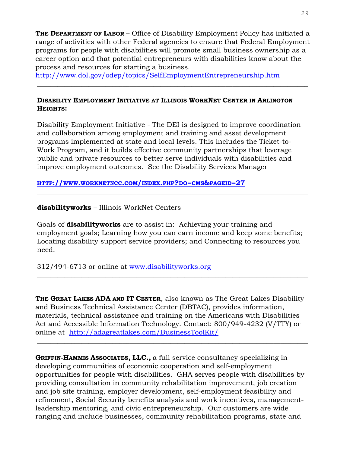**THE DEPARTMENT OF LABOR** – Office of Disability Employment Policy has initiated a range of activities with other Federal agencies to ensure that Federal Employment programs for people with disabilities will promote small business ownership as a career option and that potential entrepreneurs with disabilities know about the process and resources for starting a business.

 $\_$  , and the set of the set of the set of the set of the set of the set of the set of the set of the set of the set of the set of the set of the set of the set of the set of the set of the set of the set of the set of th

<http://www.dol.gov/odep/topics/SelfEmploymentEntrepreneurship.htm>

#### **DISABILITY EMPLOYMENT INITIATIVE AT ILLINOIS WORKNET CENTER IN ARLINGTON HEIGHTS:**

Disability Employment Initiative - The DEI is designed to improve coordination and collaboration among employment and training and asset development programs implemented at state and local levels. This includes the Ticket-to-Work Program, and it builds effective community partnerships that leverage public and private resources to better serve individuals with disabilities and improve employment outcomes. See the Disability Services Manager

**HTTP://WWW.[WORKNETNCC](http://www.worknetncc.com/index.php?do=cms&pageid=27).COM/INDEX.PHP?DO=CMS&PAGEID=27** 

**disabilityworks** – Illinois WorkNet Centers

Goals of **disabilityworks** are to assist in: Achieving your training and employment goals; Learning how you can earn income and keep some benefits; Locating disability support service providers; and Connecting to resources you need.

 $\_$  , and the set of the set of the set of the set of the set of the set of the set of the set of the set of the set of the set of the set of the set of the set of the set of the set of the set of the set of the set of th

312/494-6713 or online at [www.disabilityworks.org](http://www.chicagolandchamber.org/)

**THE GREAT LAKES ADA AND IT CENTER**, also known as The Great Lakes Disability and Business Technical Assistance Center (DBTAC), provides information, materials, technical assistance and training on the Americans with Disabilities Act and Accessible Information Technology. Contact: 800/949-4232 (V/TTY) or online at <http://adagreatlakes.com/BusinessToolKit/>

 $\_$  , and the set of the set of the set of the set of the set of the set of the set of the set of the set of the set of the set of the set of the set of the set of the set of the set of the set of the set of the set of th

\_\_\_\_\_\_\_\_\_\_\_\_\_\_\_\_\_\_\_\_\_\_\_\_\_\_\_\_\_\_\_\_\_\_\_\_\_\_\_\_\_\_\_\_\_\_\_\_\_\_\_\_\_\_\_\_\_\_\_\_\_\_\_\_\_\_\_\_\_\_\_\_\_\_\_\_\_\_\_

**GRIFFIN-HAMMIS ASSOCIATES, LLC.,** a full service consultancy specializing in developing communities of economic cooperation and self-employment opportunities for people with disabilities. GHA serves people with disabilities by providing consultation in community rehabilitation improvement, job creation and job site training, employer development, self-employment feasibility and refinement, Social Security benefits analysis and work incentives, managementleadership mentoring, and civic entrepreneurship. Our customers are wide ranging and include businesses, community rehabilitation programs, state and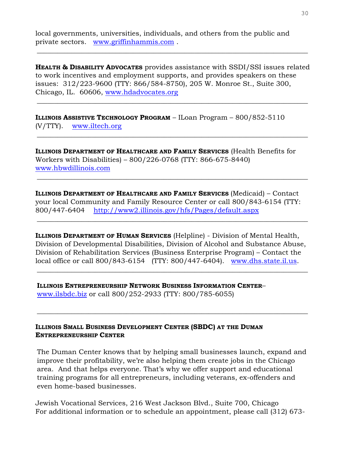local governments, universities, individuals, and others from the public and private sectors. [www.griffinhammis.com](http://www.griffinhammis.com/) .

**HEALTH & DISABILITY ADVOCATES** provides assistance with SSDI/SSI issues related to work incentives and employment supports, and provides speakers on these issues: 312/223-9600 (TTY: 866/584-8750), 205 W. Monroe St., Suite 300, Chicago, IL. 60606, [www.hdadvocates.org](http://www.hdadvocates.org/)

\_\_\_\_\_\_\_\_\_\_\_\_\_\_\_\_\_\_\_\_\_\_\_\_\_\_\_\_\_\_\_\_\_\_\_\_\_\_\_\_\_\_\_\_\_\_\_\_\_\_\_\_\_\_\_\_\_\_\_\_\_\_\_\_\_\_\_\_\_\_\_\_\_\_\_\_\_\_\_

 $\_$  , and the set of the set of the set of the set of the set of the set of the set of the set of the set of the set of the set of the set of the set of the set of the set of the set of the set of the set of the set of th

 $\_$  , and the set of the set of the set of the set of the set of the set of the set of the set of the set of the set of the set of the set of the set of the set of the set of the set of the set of the set of the set of th

\_\_\_\_\_\_\_\_\_\_\_\_\_\_\_\_\_\_\_\_\_\_\_\_\_\_\_\_\_\_\_\_\_\_\_\_\_\_\_\_\_\_\_\_\_\_\_\_\_\_\_\_\_\_\_\_\_\_\_\_\_\_\_\_\_\_\_\_\_\_\_\_\_\_\_\_\_\_\_

**ILLINOIS ASSISTIVE TECHNOLOGY PROGRAM** – ILoan Program – 800/852-5110 (V/TTY). [www.iltech.org](http://www.iltech.org/)

**ILLINOIS DEPARTMENT OF HEALTHCARE AND FAMILY SERVICES** (Health Benefits for Workers with Disabilities) – 800/226-0768 (TTY: 866-675-8440) [www.hbwdillinois.com](http://www.hbwdillinois.com/)

**ILLINOIS DEPARTMENT OF HEALTHCARE AND FAMILY SERVICES** (Medicaid) – Contact your local Community and Family Resource Center or call 800/843-6154 (TTY: 800/447-6404 <http://www2.illinois.gov/hfs/Pages/default.aspx>

\_\_\_\_\_\_\_\_\_\_\_\_\_\_\_\_\_\_\_\_\_\_\_\_\_\_\_\_\_\_\_\_\_\_\_\_\_\_\_\_\_\_\_\_\_\_\_\_\_\_\_\_\_\_\_\_\_\_\_\_\_\_\_\_\_\_\_\_\_\_\_\_\_\_\_\_\_\_\_

**ILLINOIS DEPARTMENT OF HUMAN SERVICES** (Helpline) - Division of Mental Health, Division of Developmental Disabilities, Division of Alcohol and Substance Abuse, Division of Rehabilitation Services (Business Enterprise Program) – Contact the local office or call 800/843-6154 (TTY: 800/447-6404). [www.dhs.state.il.us.](http://www.dhs.state.il.us/)

 $\_$  , and the set of the set of the set of the set of the set of the set of the set of the set of the set of the set of the set of the set of the set of the set of the set of the set of the set of the set of the set of th

 $\_$  , and the set of the set of the set of the set of the set of the set of the set of the set of the set of the set of the set of the set of the set of the set of the set of the set of the set of the set of the set of th

**ILLINOIS ENTREPRENEURSHIP NETWORK BUSINESS INFORMATION CENTER**– [www.ilsbdc.biz](http://www.ilsbdc.biz/) or call 800/252-2933 (TTY: 800/785-6055)

#### **ILLINOIS SMALL BUSINESS DEVELOPMENT CENTER (SBDC) AT THE DUMAN ENTREPRENEURSHIP CENTER**

The Duman Center knows that by helping small businesses launch, expand and improve their profitability, we're also helping them create jobs in the Chicago area. And that helps everyone. That's why we offer support and educational training programs for all entrepreneurs, including veterans, ex-offenders and even home-based businesses.

Jewish Vocational Services, 216 West Jackson Blvd., Suite 700, Chicago For additional information or to schedule an appointment, please call (312) 673-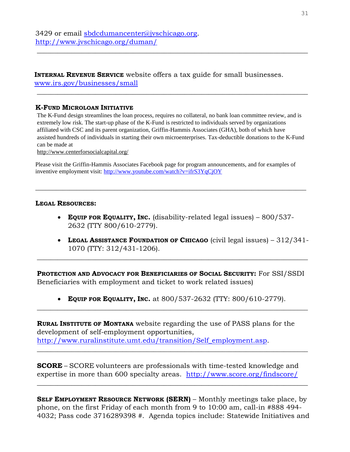#### **INTERNAL REVENUE SERVICE** website offers a tax guide for small businesses. [www.irs.gov/businesses/small](http://www.irs.gov/businesses/small)

#### **K-FUND MICROLOAN INITIATIVE**

The K-Fund design streamlines the loan process, requires no collateral, no bank loan committee review, and is extremely low risk. The start-up phase of the K-Fund is restricted to individuals served by organizations affiliated with CSC and its parent organization, Griffin-Hammis Associates (GHA), both of which have assisted hundreds of individuals in starting their own microenterprises. Tax-deductible donations to the K-Fund can be made at

\_\_\_\_\_\_\_\_\_\_\_\_\_\_\_\_\_\_\_\_\_\_\_\_\_\_\_\_\_\_\_\_\_\_\_\_\_\_\_\_\_\_\_\_\_\_\_\_\_\_\_\_\_\_\_\_\_\_\_\_\_\_\_\_\_\_\_\_\_\_\_\_\_\_\_\_\_\_\_

\_\_\_\_\_\_\_\_\_\_\_\_\_\_\_\_\_\_\_\_\_\_\_\_\_\_\_\_\_\_\_\_\_\_\_\_\_\_\_\_\_\_\_\_\_\_\_\_\_\_\_\_\_\_\_\_\_\_\_\_\_\_\_\_\_\_\_\_\_\_\_\_\_\_\_\_\_\_\_

http://www.centerforsocialcapital.org/

Please visit the Griffin-Hammis Associates Facebook page for program announcements, and for examples of inventive employment visit:<http://www.youtube.com/watch?v=ifrS3YqCjOY>

**\_\_\_\_\_\_\_\_\_\_\_\_\_\_\_\_\_\_\_\_\_\_\_\_\_\_\_\_\_\_\_\_\_\_\_\_\_\_\_\_\_\_\_\_\_\_\_\_\_\_\_\_\_\_\_\_\_\_\_\_\_\_\_\_\_\_\_\_\_\_\_\_\_\_\_\_\_\_\_**

#### **LEGAL RESOURCES:**

- **EQUIP FOR EQUALITY, INC.** (disability-related legal issues) 800/537- 2632 (TTY 800/610-2779).
- **LEGAL ASSISTANCE FOUNDATION OF CHICAGO** (civil legal issues) 312/341- 1070 (TTY: 312/431-1206).

**PROTECTION AND ADVOCACY FOR BENEFICIARIES OF SOCIAL SECURITY:** For SSI/SSDI Beneficiaries with employment and ticket to work related issues)

\_\_\_\_\_\_\_\_\_\_\_\_\_\_\_\_\_\_\_\_\_\_\_\_\_\_\_\_\_\_\_\_\_\_\_\_\_\_\_\_\_\_\_\_\_\_\_\_\_\_\_\_\_\_\_\_\_\_\_\_\_\_\_\_\_\_\_\_\_\_\_\_\_\_\_\_\_\_\_

 **EQUIP FOR EQUALITY, INC.** at 800/537-2632 (TTY: 800/610-2779). \_\_\_\_\_\_\_\_\_\_\_\_\_\_\_\_\_\_\_\_\_\_\_\_\_\_\_\_\_\_\_\_\_\_\_\_\_\_\_\_\_\_\_\_\_\_\_\_\_\_\_\_\_\_\_\_\_\_\_\_\_\_\_\_\_\_\_\_\_\_\_\_\_\_\_\_\_\_\_

**RURAL INSTITUTE OF MONTANA** website regarding the use of PASS plans for the development of self-employment opportunities, [http://www.ruralinstitute.umt.edu/transition/Self\\_employment.asp.](http://www.ruralinstitute.umt.edu/transition/Self_employment.asp)

**SCORE** – SCORE volunteers are professionals with time-tested knowledge and expertise in more than 600 specialty areas. <http://www.score.org/findscore/>

\_\_\_\_\_\_\_\_\_\_\_\_\_\_\_\_\_\_\_\_\_\_\_\_\_\_\_\_\_\_\_\_\_\_\_\_\_\_\_\_\_\_\_\_\_\_\_\_\_\_\_\_\_\_\_\_\_\_\_\_\_\_\_\_\_\_\_\_\_\_\_\_\_\_\_\_\_\_\_

**SELF EMPLOYMENT RESOURCE NETWORK (SERN)** – Monthly meetings take place, by phone, on the first Friday of each month from 9 to 10:00 am, call-in #888 494- 4032; Pass code 3716289398 #. Agenda topics include: Statewide Initiatives and

 $\_$  , and the set of the set of the set of the set of the set of the set of the set of the set of the set of the set of the set of the set of the set of the set of the set of the set of the set of the set of the set of th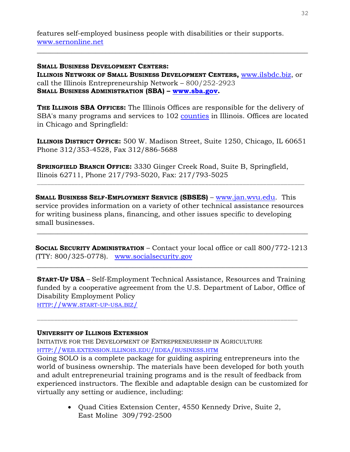features self-employed business people with disabilities or their supports. [www.sernonline.net](http://www.sernonline.net/)

**SMALL BUSINESS DEVELOPMENT CENTERS: ILLINOIS NETWORK OF SMALL BUSINESS DEVELOPMENT CENTERS,** [www.ilsbdc.biz,](http://www.ilsbdc.biz/) or call the Illinois Entrepreneurship Network – 800/252-2923 **SMALL BUSINESS ADMINISTRATION (SBA) – [www.sba.gov.](http://www.sba.gov/)** 

\_\_\_\_\_\_\_\_\_\_\_\_\_\_\_\_\_\_\_\_\_\_\_\_\_\_\_\_\_\_\_\_\_\_\_\_\_\_\_\_\_\_\_\_\_\_\_\_\_\_\_\_\_\_\_\_\_\_\_\_\_\_\_\_\_\_\_\_\_\_\_\_\_\_\_\_\_\_\_

**THE ILLINOIS SBA OFFICES:** The Illinois Offices are responsible for the delivery of SBA's many programs and services to 102 [counties](http://www.sba.gov/il/IL_COUNTIESSERVED.html) in Illinois. Offices are located in Chicago and Springfield:

**ILLINOIS DISTRICT OFFICE:** 500 W. Madison Street, Suite 1250, Chicago, IL 60651 Phone 312/353-4528, Fax 312/886-5688

**SPRINGFIELD BRANCH OFFICE:** 3330 Ginger Creek Road, Suite B, Springfield, Ilinois 62711, Phone 217/793-5020, Fax: 217/793-5025  $\mathcal{L}_\mathcal{L} = \mathcal{L}_\mathcal{L} = \mathcal{L}_\mathcal{L} = \mathcal{L}_\mathcal{L} = \mathcal{L}_\mathcal{L} = \mathcal{L}_\mathcal{L} = \mathcal{L}_\mathcal{L} = \mathcal{L}_\mathcal{L} = \mathcal{L}_\mathcal{L} = \mathcal{L}_\mathcal{L} = \mathcal{L}_\mathcal{L} = \mathcal{L}_\mathcal{L} = \mathcal{L}_\mathcal{L} = \mathcal{L}_\mathcal{L} = \mathcal{L}_\mathcal{L} = \mathcal{L}_\mathcal{L} = \mathcal{L}_\mathcal{L}$ 

**SMALL BUSINESS SELF-EMPLOYMENT SERVICE (SBSES)** – [www.jan.wvu.edu.](http://www.jan.wvu.edu/) This service provides information on a variety of other technical assistance resources for writing business plans, financing, and other issues specific to developing small businesses.

**SOCIAL SECURITY ADMINISTRATION** – Contact your local office or call 800/772-1213 (TTY: 800/325-0778). [www.socialsecurity.gov](http://www.socialsecurity.gov/)

\_\_\_\_\_\_\_\_\_\_\_\_\_\_\_\_\_\_\_\_\_\_\_\_\_\_\_\_\_\_\_\_\_\_\_\_\_\_\_\_\_\_\_\_\_\_\_\_\_\_\_\_\_\_\_\_\_\_\_\_\_\_\_\_\_\_\_\_\_\_\_\_\_\_\_\_\_\_\_

\_\_\_\_\_\_\_\_\_\_\_\_\_\_\_\_\_\_\_\_\_\_\_\_\_\_\_\_\_\_\_\_\_\_\_\_\_\_\_\_\_\_\_\_\_\_\_\_\_\_\_\_\_\_\_\_\_\_\_\_\_\_\_\_\_\_\_\_\_\_\_\_\_\_\_\_\_\_\_

**START-UP USA** – Self-Employment Technical Assistance, Resources and Training funded by a cooperative agreement from the U.S. Department of Labor, Office of Disability Employment Policy

HTTP://WWW.[START](http://www.start-up-usa.biz/)-UP-USA.BIZ/

#### **UNIVERSITY OF ILLINOIS EXTENSION**

INITIATIVE FOR THE DEVELOPMENT OF ENTREPRENEURSHIP IN AGRICULTURE HTTP://WEB.[EXTENSION](http://web.extension.illinois.edu/iidea/business.htm).ILLINOIS.EDU/IIDEA/BUSINESS.HTM

Going SOLO is a complete package for guiding aspiring entrepreneurs into the world of business ownership. The materials have been developed for both youth and adult entrepreneurial training programs and is the result of feedback from experienced instructors. The flexible and adaptable design can be customized for virtually any setting or audience, including:

> Quad Cities Extension Center, 4550 Kennedy Drive, Suite 2, East Moline 309/792-2500